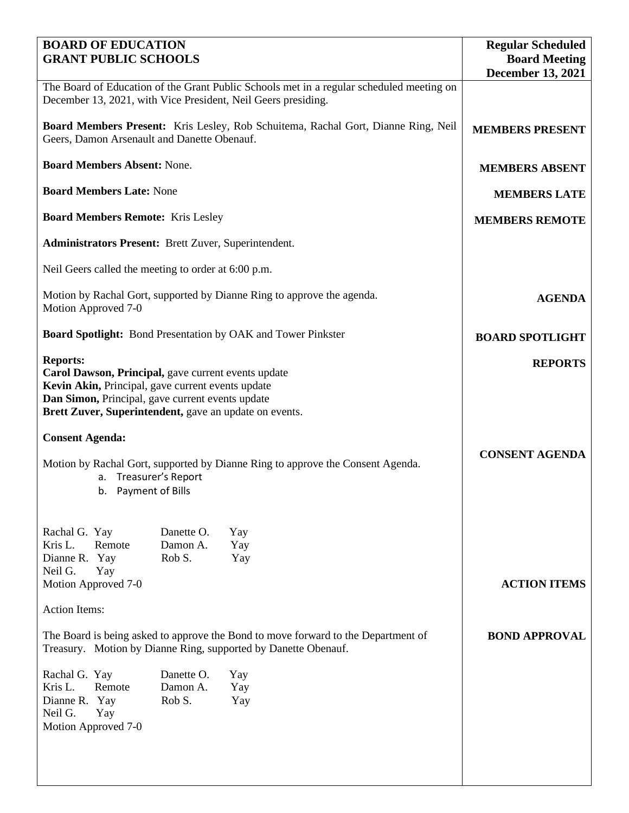| <b>BOARD OF EDUCATION</b><br><b>GRANT PUBLIC SCHOOLS</b>                                                                                                                                                                                  | <b>Regular Scheduled</b><br><b>Board Meeting</b> |                   |                          |
|-------------------------------------------------------------------------------------------------------------------------------------------------------------------------------------------------------------------------------------------|--------------------------------------------------|-------------------|--------------------------|
|                                                                                                                                                                                                                                           |                                                  |                   | <b>December 13, 2021</b> |
| The Board of Education of the Grant Public Schools met in a regular scheduled meeting on<br>December 13, 2021, with Vice President, Neil Geers presiding.                                                                                 |                                                  |                   |                          |
| Board Members Present: Kris Lesley, Rob Schuitema, Rachal Gort, Dianne Ring, Neil<br>Geers, Damon Arsenault and Danette Obenauf.                                                                                                          | <b>MEMBERS PRESENT</b>                           |                   |                          |
| <b>Board Members Absent: None.</b>                                                                                                                                                                                                        | <b>MEMBERS ABSENT</b>                            |                   |                          |
| <b>Board Members Late: None</b>                                                                                                                                                                                                           | <b>MEMBERS LATE</b>                              |                   |                          |
| <b>Board Members Remote: Kris Lesley</b>                                                                                                                                                                                                  | <b>MEMBERS REMOTE</b>                            |                   |                          |
| <b>Administrators Present:</b> Brett Zuver, Superintendent.                                                                                                                                                                               |                                                  |                   |                          |
| Neil Geers called the meeting to order at 6:00 p.m.                                                                                                                                                                                       |                                                  |                   |                          |
| Motion by Rachal Gort, supported by Dianne Ring to approve the agenda.<br>Motion Approved 7-0                                                                                                                                             | <b>AGENDA</b>                                    |                   |                          |
| <b>Board Spotlight:</b> Bond Presentation by OAK and Tower Pinkster                                                                                                                                                                       | <b>BOARD SPOTLIGHT</b>                           |                   |                          |
| <b>Reports:</b><br>Carol Dawson, Principal, gave current events update<br>Kevin Akin, Principal, gave current events update<br>Dan Simon, Principal, gave current events update<br>Brett Zuver, Superintendent, gave an update on events. | <b>REPORTS</b>                                   |                   |                          |
| <b>Consent Agenda:</b>                                                                                                                                                                                                                    |                                                  |                   |                          |
| Motion by Rachal Gort, supported by Dianne Ring to approve the Consent Agenda.<br>a. Treasurer's Report<br>Payment of Bills<br>b.                                                                                                         | <b>CONSENT AGENDA</b>                            |                   |                          |
| Rachal G. Yay<br>Kris L.<br>Remote<br>Dianne R. Yay<br>Neil G.<br>Yay<br>Motion Approved 7-0                                                                                                                                              | Danette O.<br>Damon A.<br>Rob S.                 | Yay<br>Yay<br>Yay | <b>ACTION ITEMS</b>      |
| <b>Action Items:</b>                                                                                                                                                                                                                      |                                                  |                   |                          |
| The Board is being asked to approve the Bond to move forward to the Department of<br>Treasury. Motion by Dianne Ring, supported by Danette Obenauf.                                                                                       | <b>BOND APPROVAL</b>                             |                   |                          |
| Rachal G. Yay<br>Kris L.<br>Remote<br>Dianne R.<br>Yay<br>Neil G.<br>Yay<br>Motion Approved 7-0                                                                                                                                           | Danette O.<br>Damon A.<br>Rob S.                 | Yay<br>Yay<br>Yay |                          |